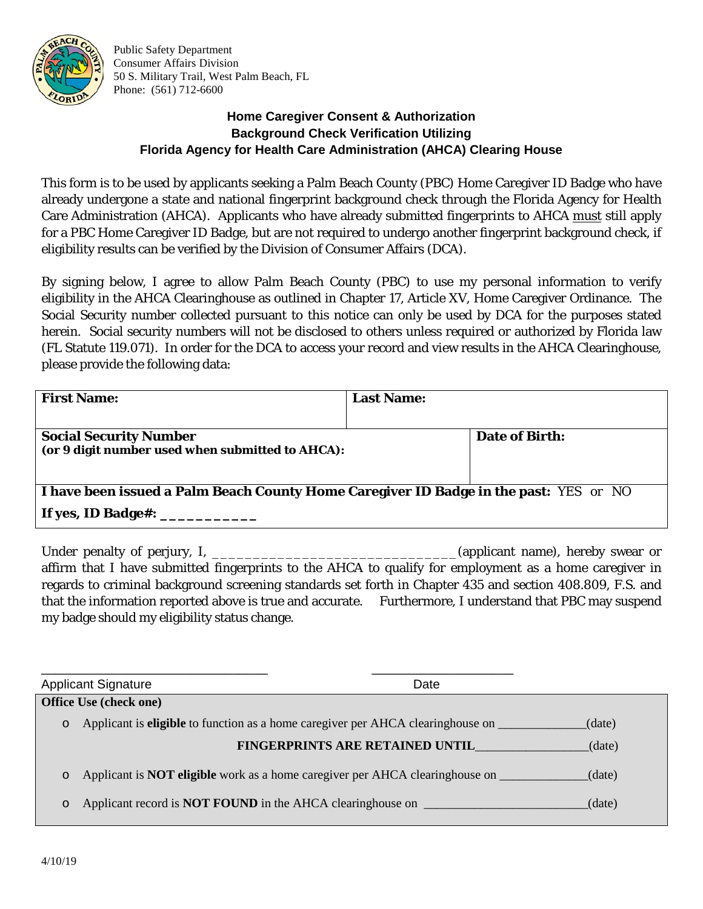

Public Safety Department Consumer Affairs Division 50 S. Military Trail, West Palm Beach, FL Phone: (561) 712-6600

# **Home Caregiver Consent & Authorization Background Check Verification Utilizing Florida Agency for Health Care Administration (AHCA) Clearing House**

This form is to be used by applicants seeking a Palm Beach County (PBC) Home Caregiver ID Badge who have already undergone a state and national fingerprint background check through the Florida Agency for Health Care Administration (AHCA). Applicants who have already submitted fingerprints to AHCA must still apply for a PBC Home Caregiver ID Badge, but are not required to undergo another fingerprint background check, if eligibility results can be verified by the Division of Consumer Affairs (DCA).

By signing below, I agree to allow Palm Beach County (PBC) to use my personal information to verify eligibility in the AHCA Clearinghouse as outlined in Chapter 17, Article XV, Home Caregiver Ordinance. The Social Security number collected pursuant to this notice can only be used by DCA for the purposes stated herein. Social security numbers will not be disclosed to others unless required or authorized by Florida law (FL Statute 119.071). In order for the DCA to access your record and view results in the AHCA Clearinghouse, please provide the following data:

| <b>First Name:</b>                                                                    | <b>Last Name:</b> |  |  |  |
|---------------------------------------------------------------------------------------|-------------------|--|--|--|
| <b>Social Security Number</b><br>(or 9 digit number used when submitted to AHCA):     | Date of Birth:    |  |  |  |
| I have been issued a Palm Beach County Home Caregiver ID Badge in the past: YES or NO |                   |  |  |  |
| If yes, ID Badge#:                                                                    |                   |  |  |  |

Under penalty of perjury, I, the same of the same of the same of the same of the same of the same of the same of the same of the same of the same of the same of the same of the same of the same of the same of the same of t affirm that I have submitted fingerprints to the AHCA to qualify for employment as a home caregiver in regards to criminal background screening standards set forth in Chapter 435 and section 408.809, F.S. and that the information reported above is true and accurate. Furthermore, I understand that PBC may suspend my badge should my eligibility status change.

|         | <b>Applicant Signature</b>                                                                       | Date |        |
|---------|--------------------------------------------------------------------------------------------------|------|--------|
|         | Office Use (check one)                                                                           |      |        |
| $\circ$ | Applicant is <b>eligible</b> to function as a home caregiver per AHCA clearinghouse on<br>(date) |      |        |
|         | <b>FINGERPRINTS ARE RETAINED UNTIL</b>                                                           |      | (date) |
| $\circ$ |                                                                                                  |      | (date) |
| O       |                                                                                                  |      | (date) |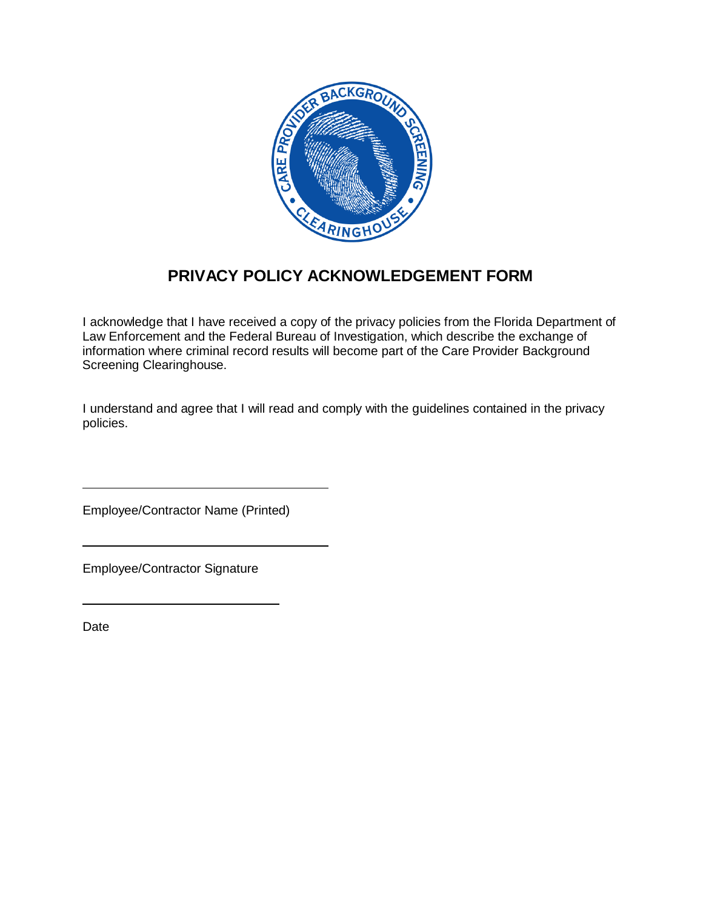

# **PRIVACY POLICY ACKNOWLEDGEMENT FORM**

I acknowledge that I have received a copy of the privacy policies from the Florida Department of Law Enforcement and the Federal Bureau of Investigation, which describe the exchange of information where criminal record results will become part of the Care Provider Background Screening Clearinghouse.

I understand and agree that I will read and comply with the guidelines contained in the privacy policies.

Employee/Contractor Name (Printed)

Employee/Contractor Signature

Date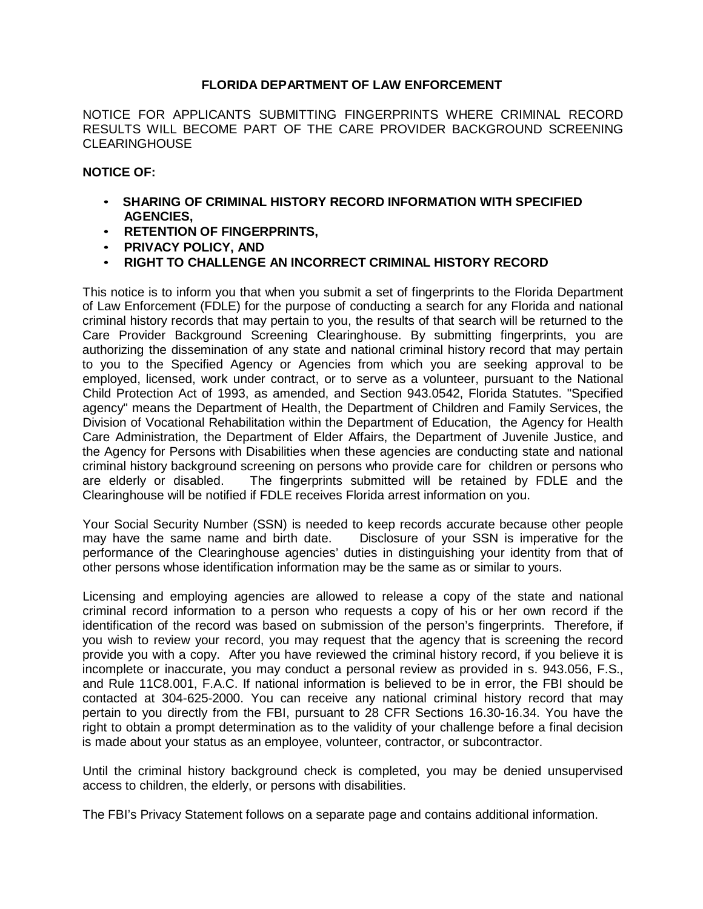# **FLORIDA DEPARTMENT OF LAW ENFORCEMENT**

NOTICE FOR APPLICANTS SUBMITTING FINGERPRINTS WHERE CRIMINAL RECORD RESULTS WILL BECOME PART OF THE CARE PROVIDER BACKGROUND SCREENING CLEARINGHOUSE

### **NOTICE OF:**

- **SHARING OF CRIMINAL HISTORY RECORD INFORMATION WITH SPECIFIED AGENCIES,**
- **RETENTION OF FINGERPRINTS,**
- **PRIVACY POLICY, AND**
- **RIGHT TO CHALLENGE AN INCORRECT CRIMINAL HISTORY RECORD**

This notice is to inform you that when you submit a set of fingerprints to the Florida Department of Law Enforcement (FDLE) for the purpose of conducting a search for any Florida and national criminal history records that may pertain to you, the results of that search will be returned to the Care Provider Background Screening Clearinghouse. By submitting fingerprints, you are authorizing the dissemination of any state and national criminal history record that may pertain to you to the Specified Agency or Agencies from which you are seeking approval to be employed, licensed, work under contract, or to serve as a volunteer, pursuant to the National Child Protection Act of 1993, as amended, and Section 943.0542, Florida Statutes. "Specified agency" means the Department of Health, the Department of Children and Family Services, the Division of Vocational Rehabilitation within the Department of Education, the Agency for Health Care Administration, the Department of Elder Affairs, the Department of Juvenile Justice, and the Agency for Persons with Disabilities when these agencies are conducting state and national criminal history background screening on persons who provide care for children or persons who are elderly or disabled. The fingerprints submitted will be retained by FDLE and the Clearinghouse will be notified if FDLE receives Florida arrest information on you.

Your Social Security Number (SSN) is needed to keep records accurate because other people may have the same name and birth date. Disclosure of your SSN is imperative for the performance of the Clearinghouse agencies' duties in distinguishing your identity from that of other persons whose identification information may be the same as or similar to yours.

Licensing and employing agencies are allowed to release a copy of the state and national criminal record information to a person who requests a copy of his or her own record if the identification of the record was based on submission of the person's fingerprints. Therefore, if you wish to review your record, you may request that the agency that is screening the record provide you with a copy. After you have reviewed the criminal history record, if you believe it is incomplete or inaccurate, you may conduct a personal review as provided in s. 943.056, F.S., and Rule 11C8.001, F.A.C. If national information is believed to be in error, the FBI should be contacted at 304-625-2000. You can receive any national criminal history record that may pertain to you directly from the FBI, pursuant to 28 CFR Sections 16.30-16.34. You have the right to obtain a prompt determination as to the validity of your challenge before a final decision is made about your status as an employee, volunteer, contractor, or subcontractor.

Until the criminal history background check is completed, you may be denied unsupervised access to children, the elderly, or persons with disabilities.

The FBI's Privacy Statement follows on a separate page and contains additional information.